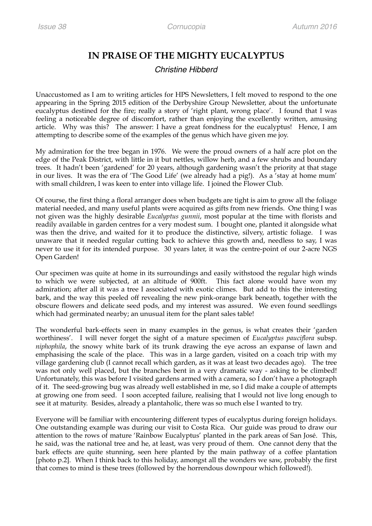## **IN PRAISE OF THE MIGHTY EUCALYPTUS**

## *Christine Hibberd*

Unaccustomed as I am to writing articles for HPS Newsletters, I felt moved to respond to the one appearing in the Spring 2015 edition of the Derbyshire Group Newsletter, about the unfortunate eucalyptus destined for the fire; really a story of 'right plant, wrong place'. I found that I was feeling a noticeable degree of discomfort, rather than enjoying the excellently written, amusing article. Why was this? The answer: I have a great fondness for the eucalyptus! Hence, I am attempting to describe some of the examples of the genus which have given me joy.

My admiration for the tree began in 1976. We were the proud owners of a half acre plot on the edge of the Peak District, with little in it but nettles, willow herb, and a few shrubs and boundary trees. It hadn't been 'gardened' for 20 years, although gardening wasn't the priority at that stage in our lives. It was the era of 'The Good Life' (we already had a pig!). As a 'stay at home mum' with small children, I was keen to enter into village life. I joined the Flower Club.

Of course, the first thing a floral arranger does when budgets are tight is aim to grow all the foliage material needed, and many useful plants were acquired as gifts from new friends. One thing I was not given was the highly desirable *Eucalyptus gunnii*, most popular at the time with florists and readily available in garden centres for a very modest sum. I bought one, planted it alongside what was then the drive, and waited for it to produce the distinctive, silvery, artistic foliage. I was unaware that it needed regular cutting back to achieve this growth and, needless to say, I was never to use it for its intended purpose. 30 years later, it was the centre-point of our 2-acre NGS Open Garden!

Our specimen was quite at home in its surroundings and easily withstood the regular high winds to which we were subjected, at an altitude of 900ft. This fact alone would have won my admiration; after all it was a tree I associated with exotic climes. But add to this the interesting bark, and the way this peeled off revealing the new pink-orange bark beneath, together with the obscure flowers and delicate seed pods, and my interest was assured. We even found seedlings which had germinated nearby; an unusual item for the plant sales table!

The wonderful bark-effects seen in many examples in the genus, is what creates their 'garden worthiness'. I will never forget the sight of a mature specimen of *Eucalyptus pauciflora* subsp. *niphophila*, the snowy white bark of its trunk drawing the eye across an expanse of lawn and emphasising the scale of the place. This was in a large garden, visited on a coach trip with my village gardening club (I cannot recall which garden, as it was at least two decades ago). The tree was not only well placed, but the branches bent in a very dramatic way - asking to be climbed! Unfortunately, this was before I visited gardens armed with a camera, so I don't have a photograph of it. The seed-growing bug was already well established in me, so I did make a couple of attempts at growing one from seed. I soon accepted failure, realising that I would not live long enough to see it at maturity. Besides, already a plantaholic, there was so much else I wanted to try.

Everyone will be familiar with encountering different types of eucalyptus during foreign holidays. One outstanding example was during our visit to Costa Rica. Our guide was proud to draw our attention to the rows of mature 'Rainbow Eucalyptus' planted in the park areas of San José. This, he said, was the national tree and he, at least, was very proud of them. One cannot deny that the bark effects are quite stunning, seen here planted by the main pathway of a coffee plantation [photo p.2]. When I think back to this holiday, amongst all the wonders we saw, probably the first that comes to mind is these trees (followed by the horrendous downpour which followed!).